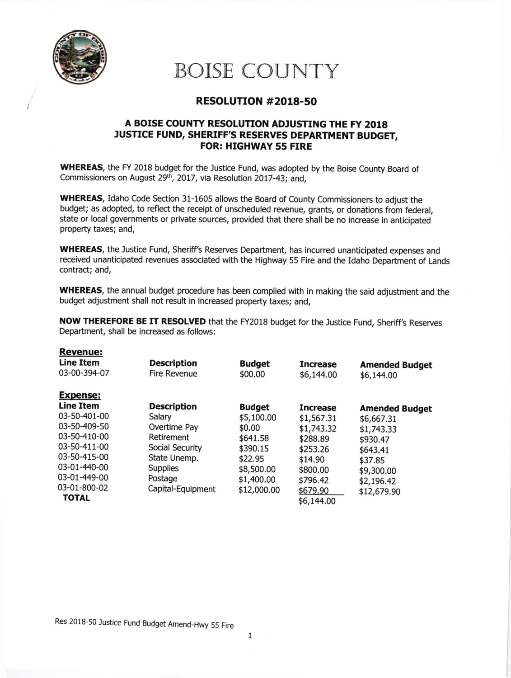

## BOISE COUNTY

## RESOLUTTON #2018-50

## A BOISE COUNTY RESOLUTION ADJUSTING THE FY 2018 ,USTICE FUND, SHERIFF'S RESERVES DEPARTMENT BUDGET, FOR: HIGHWAY 55 FIRE

WHEREAS, the FY 2018 budget for the Justice Fund, was adopted by the Boise County Board of Commissioners on August 29<sup>th</sup>, 2017, via Resolution 2017-43; and,

WHEREAS, Idaho Code Section 31-1605 allows the Board of County Commissioners to adjust the budget; as adopted, to reflect the receipt of unscheduled revenue, grants, or donations from federal, state or local governments or private sources, provided that there shall be no increase in anticipated property taxes; and,

WHEREAS, the Justice Fund, Sheriff's Reserves Department, has incurred unanticipated expenses and received unanticipated revenues associated with the Highway 55 Fire and the Idaho Department of Lands contract; and,

WHEREAS, the annual budget procedure has been complied with in making the said adjustment and the budget adjustment shall not result in increased property taxes; and,

NOW THEREFORE BE IT RESOLVED that the FY2018 budget for the Justice Fund, Sheriff's Reserves Department, shall be increased as follows:

| <b>Revenue:</b>  |                     |               |                 |                       |
|------------------|---------------------|---------------|-----------------|-----------------------|
| <b>Line Item</b> | <b>Description</b>  | <b>Budget</b> | <b>Increase</b> | <b>Amended Budget</b> |
| 03-00-394-07     | <b>Fire Revenue</b> | \$00.00       | \$6,144.00      | \$6,144.00            |
| <b>Expense:</b>  |                     |               |                 |                       |
| <b>Line Item</b> | <b>Description</b>  | <b>Budget</b> | <b>Increase</b> | <b>Amended Budget</b> |
| 03-50-401-00     | Salary              | \$5,100.00    | \$1,567.31      | \$6,667.31            |
| 03-50-409-50     | Overtime Pay        | \$0.00        | \$1,743.32      | \$1,743.33            |
| 03-50-410-00     | <b>Retirement</b>   | \$641.58      | \$288.89        | \$930.47              |
| 03-50-411-00     | Social Security     | \$390.15      | \$253.26        | \$643.41              |
| 03-50-415-00     | State Unemp.        | \$22.95       | \$14.90         | \$37.85               |
| 03-01-440-00     | <b>Supplies</b>     | \$8,500.00    | \$800.00        | \$9,300.00            |
| 03-01-449-00     | Postage             | \$1,400.00    | \$796.42        | \$2,196.42            |
| 03-01-800-02     | Capital-Equipment   | \$12,000.00   | \$679.90        | \$12,679.90           |
| TOTAL            |                     |               | \$6,144.00      |                       |

Res 2018-50 Justice Fund Budget Amend\_Hwy 55 Fire